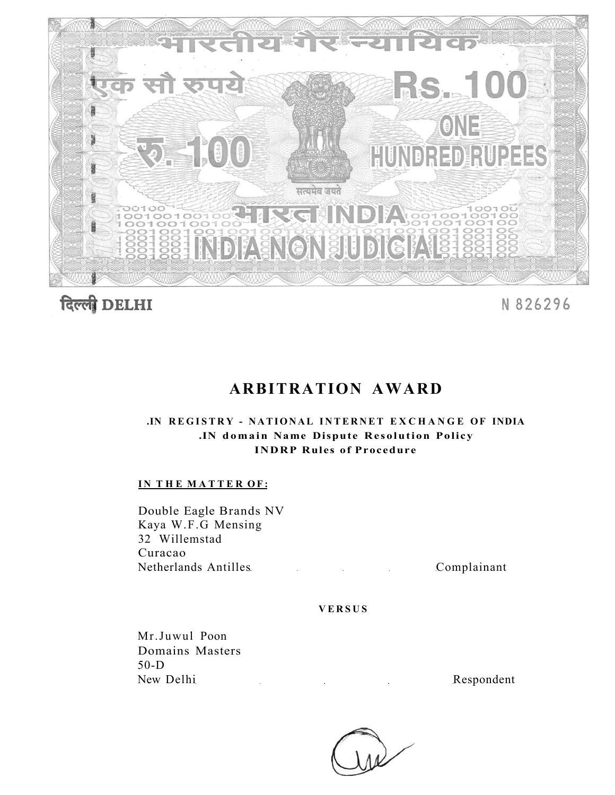



# N 826296

# **ARBITRATION AWARD**

# **.IN REGISTR Y - NATIONA L INTERNET EXCHANG E OF INDIA .IN domain Name Dispute Resolution Policy INDRP Rules of Procedure**

# **IN THE MATTER OF:**

Double Eagle Brands NV Kaya W.F.G Mensing 32 Willemstad Curacao Netherlands Antilles Complainant

# **VERSU S**

Mr.Juwul Poon Domains Masters 50-D New Delhi Respondent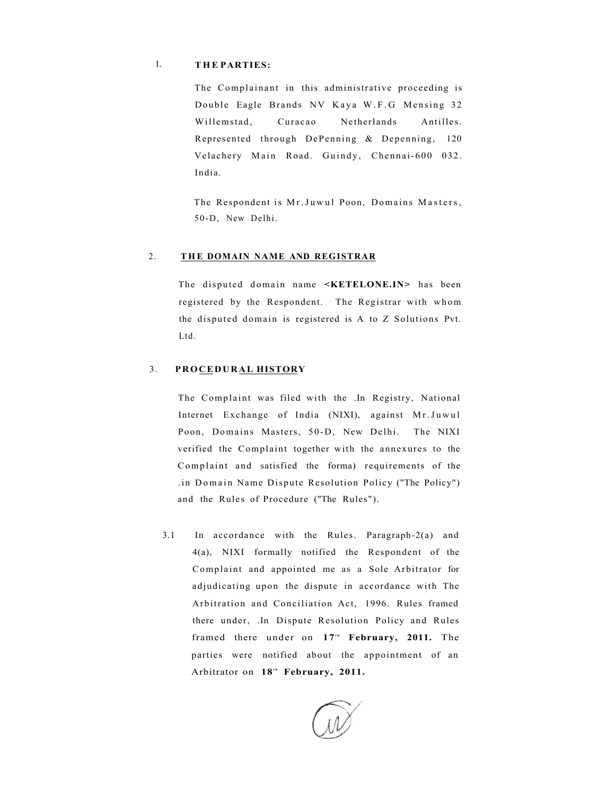# 1. **T H E PARTIES:**

The Complainant in this administrative proceeding is Double Eagle Brands NV Kaya W.F.G Mensing 32 Willemstad, Curacao Netherlands Antilles. Represented through DePenning & Depenning, 120 Velachery Main Road. Guindy, Chennai-600 032. India.

The Respondent is Mr. Juwul Poon, Domains Masters, 50-D, New Delhi.

## 2. THE DOMAIN NAME AND REGISTRAR

The disputed domain name **<KETELONE.IN>** has been registered by the Respondent. The Registrar with whom the disputed domain is registered is A to Z Solutions Pvt. Ltd.

# 3. **PROCEDURAL HISTORY**

The Complaint was filed with the .In Registry, National Internet Exchange of India (NIXI), against Mr.Juwul Poon, Domains Masters, 50-D, New Delhi. The NIXI verified the Complaint together with the annexures to the Complaint and satisfied the forma) requirements of the .in Domain Name Dispute Resolution Policy ("The Policy") and the Rules of Procedure ("The Rules").

3.1 In accordance with the Rules. Paragraph-2(a) and 4(a), NIXI formally notified the Respondent of the Complaint and appointed me as a Sole Arbitrator for adjudicating upon the dispute in accordance with The Arbitration and Conciliation Act, 1996. Rules framed there under, .In Dispute Resolution Policy and Rules framed there under on 17<sup>th</sup> February, 2011. The parties were notified about the appointment of an Arbitrator on 18<sup>th</sup> February, 2011.

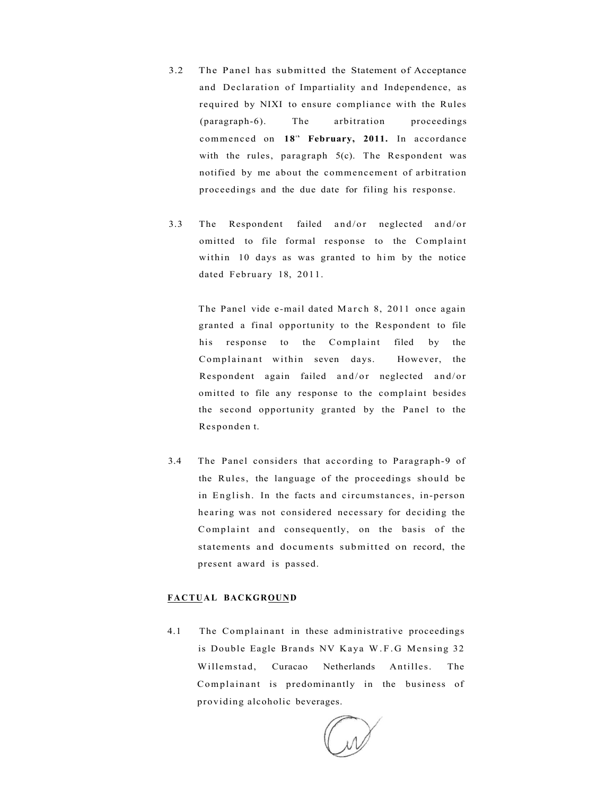- 3.2 The Panel has submitted the Statement of Acceptance and Declaration of Impartiality and Independence, as required by NIXI to ensure compliance with the Rules (paragraph-6). The arbitration proceedings commenced on 18<sup>th</sup> February, 2011. In accordance with the rules, paragraph 5(c). The Respondent was notified by me about the commencement of arbitration proceedings and the due date for filing his response.
- 3.3 The Respondent failed and/or neglected and/or omitted to file formal response to the Complaint within 10 days as was granted to him by the notice dated February 18, 2011.

The Panel vide e-mail dated March 8, 2011 once again granted a final opportunity to the Respondent to file his response to the Complaint filed by the Complainant within seven days. However, the Respondent again failed and/or neglected and/or omitted to file any response to the complaint besides the second opportunity granted by the Panel to the Responden t.

3.4 The Panel considers that according to Paragraph-9 of the Rules, the language of the proceedings should be in English. In the facts and circumstances, in-person hearing was not considered necessary for deciding the Complaint and consequently, on the basis of the statements and documents submitted on record, the present award is passed.

# **FACTUAL BACKGROUND**

4.1 The Complainant in these administrative proceedings is Double Eagle Brands NV Kaya W.F. G Mensing 32 Willemstad, Curacao Netherlands Antilles. The Complainant is predominantly in the business of providing alcoholic beverages.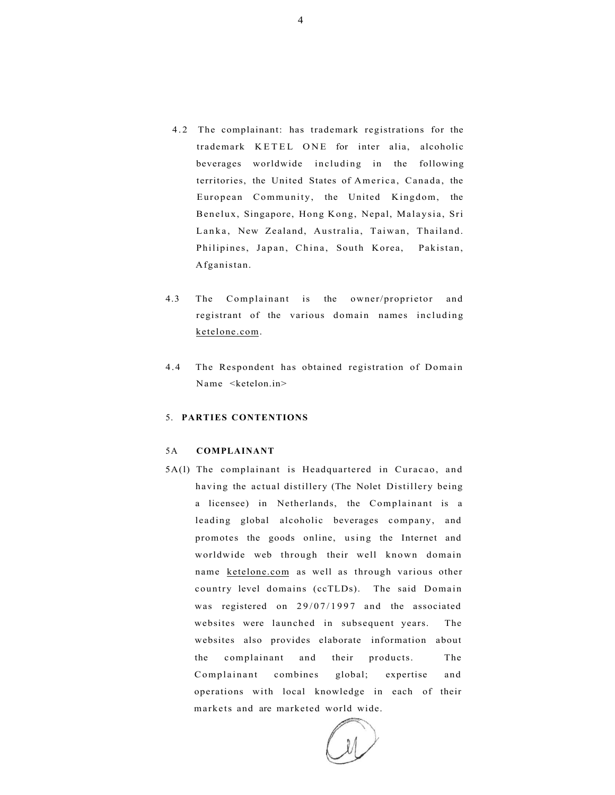- 4.2 The complainant: has trademark registrations for the trademark KETEL ONE for inter alia, alcoholic beverages worldwide including in the following territories, the United States of America, Canada, the European Community, the United Kingdom, the Benelux, Singapore, Hong Kong, Nepal, Malaysia, Sri Lanka, New Zealand, Australia, Taiwan, Thailand. Philipines, Japan, China, South Korea, Pakistan, Afganistan.
- 4.3 The Complainant is the owner/proprietor and registrant of the various domain names including [ketelone.com.](http://ketelone.com)
- 4.4 The Respondent has obtained registration of Domain Name <ketelon.in>

# 5. **PARTIES CONTENTIONS**

### 5A **COMPLAINANT**

5A(l) The complainant is Headquartered in Curacao, and having the actual distillery (The Nolet Distillery being a licensee) in Netherlands, the Complainant is a leading global alcoholic beverages company, and promotes the goods online, using the Internet and worldwide web through their well known domain name [ketelone.com](http://kctelone.com) as well as through various other country level domains (ccTLDs). The said Domain was registered on 29/07/1997 and the associated websites were launched in subsequent years. The websites also provides elaborate information about the complainant and their products. The Complainant combines global; expertise and operations with local knowledge in each of their markets and are marketed world wide.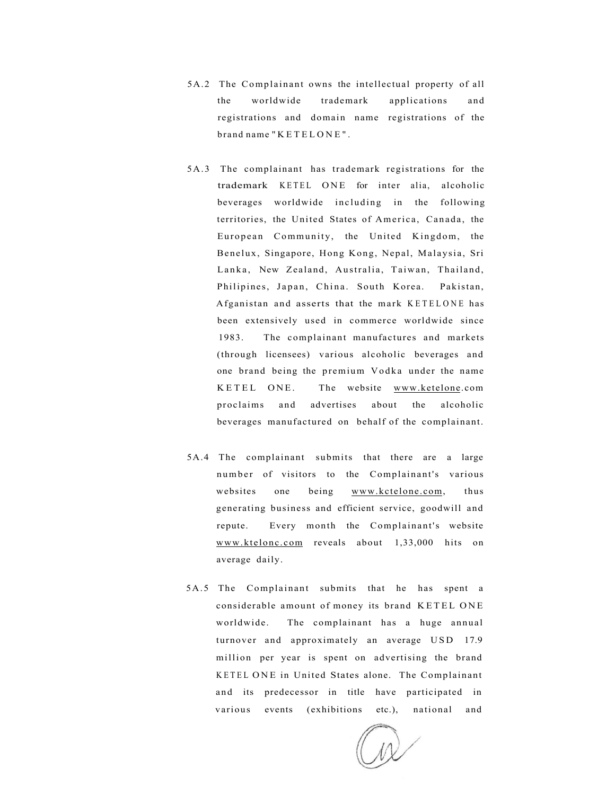- 5A.2 The Complainant owns the intellectual property of all the worldwide trademark applications and registrations and domain name registrations of the brand name "KETELONE" .
- 5A.3 The complainant has trademark registrations for the trademark KETEL ONE for inter alia, alcoholic beverages worldwide including in the following territories, the United States of America, Canada, the European Community, the United Kingdom, the Benelux, Singapore, Hong Kong, Nepal, Malaysia, Sri Lanka, New Zealand, Australia, Taiwan, Thailand, Philipines, Japan, China. South Korea. Pakistan, Afganistan and asserts that the mark KETELONE has been extensively used in commerce worldwide since 1983. The complainant manufactures and markets (through licensees) various alcoholic beverages and one brand being the premium Vodka under the name KETEL ONE. The website [www.ketelone.](http://www.kcteloiie)com proclaims and advertises about the alcoholic beverages manufactured on behalf of the complainant.
- 5A.4 The complainant submits that there are a large number of visitors to the Complainant's various websites one being [www.kctelone.com,](http://www.kctelone.com) thus generating business and efficient service, goodwill and repute. Every month the Complainant's website [www.ktelonc.com r](http://www.ktelonc.com)eveals about 1,33,000 hits on average daily.
- 5A.5 The Complainant submits that he has spent a considerable amount of money its brand KETEL ONE worldwide. The complainant has a huge annual turnover and approximately an average USD 17.9 million per year is spent on advertising the brand KETEL ONE in United States alone. The Complainant and its predecessor in title have participated in various events (exhibitions etc.), national and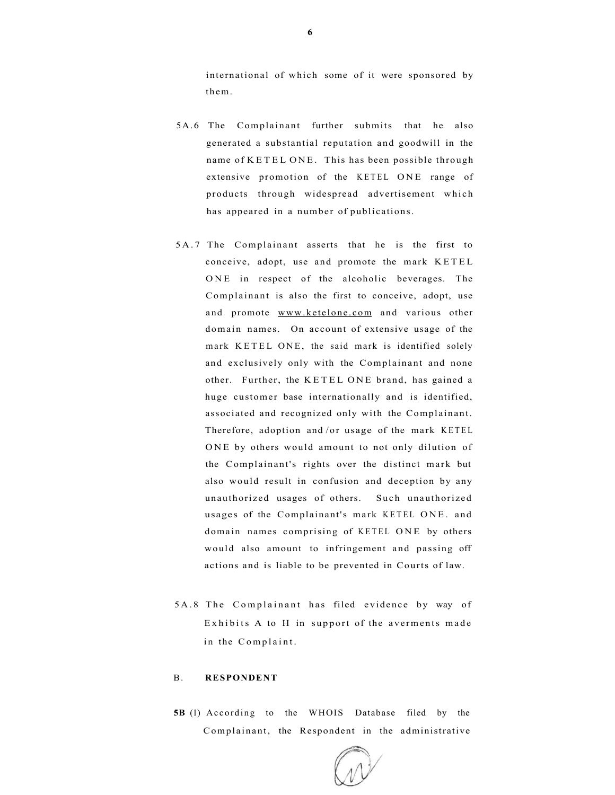international of which some of it were sponsored by them.

- 5A.6 The Complainant further submits that he also generated a substantial reputation and goodwill in the name of KETEL ONE. This has been possible through extensive promotion of the KETEL ONE range of products through widespread advertisement which has appeared in a number of publications.
- 5A. 7 The Complainant asserts that he is the first to conceive, adopt, use and promote the mark KETEL ONE in respect of the alcoholic beverages. The Complainant is also the first to conceive, adopt, use and promote [www.ketelone.com a](http://www.ketelone.com)nd various other domain names. On account of extensive usage of the mark KETEL ONE, the said mark is identified solely and exclusively only with the Complainant and none other. Further, the KETEL ONE brand, has gained a huge customer base internationally and is identified, associated and recognized only with the Complainant. Therefore, adoption and/or usage of the mark KETEL ONE by others would amount to not only dilution of the Complainant's rights over the distinct mark but also would result in confusion and deception by any unauthorized usages of others. Such unauthorized usages of the Complainant's mark KETEL ONE. and domain names comprising of KETEL ONE by others would also amount to infringement and passing off actions and is liable to be prevented in Courts of law.
- 5A.8 The Complainant has filed evidence by way of Exhibits A to H in support of the averments made in the Complaint.

### B. **RESPONDENT**

**5B** (1) According to the WHOIS Database filed by the Complainant, the Respondent in the administrative

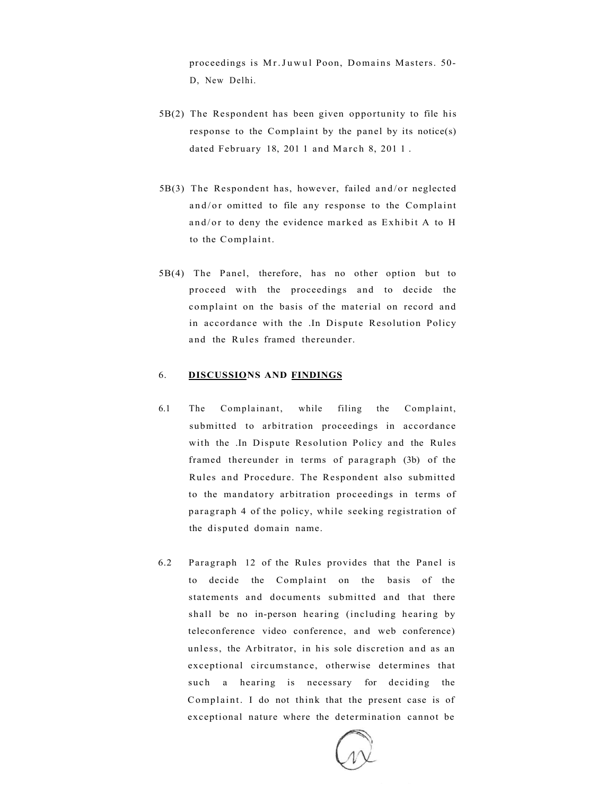proceedings is Mr.Juwul Poon, Domains Masters. 50-D, New Delhi.

- 5B(2) The Respondent has been given opportunity to file his response to the Complaint by the panel by its notice(s) dated February 18, 2011 and March 8, 2011.
- $5B(3)$  The Respondent has, however, failed and/or neglected and/or omitted to file any response to the Complaint and/or to deny the evidence marked as Exhibit A to H to the Complaint.
- 5B(4) The Panel, therefore, has no other option but to proceed with the proceedings and to decide the complaint on the basis of the material on record and in accordance with the .In Dispute Resolution Policy and the Rules framed thereunder.

# 6. **DISCUSSIONS AND FINDINGS**

- 6.1 The Complainant, while filing the Complaint, submitted to arbitration proceedings in accordance with the .In Dispute Resolution Policy and the Rules framed thereunder in terms of paragraph (3b) of the Rules and Procedure. The Respondent also submitted to the mandatory arbitration proceedings in terms of paragraph 4 of the policy, while seeking registration of the disputed domain name.
- 6.2 Paragraph 12 of the Rules provides that the Panel is to decide the Complaint on the basis of the statements and documents submitted and that there shall be no in-person hearing (including hearing by teleconference video conference, and web conference) unless, the Arbitrator, in his sole discretion and as an exceptional circumstance, otherwise determines that such a hearing is necessary for deciding the Complaint. I do not think that the present case is of exceptional nature where the determination cannot be

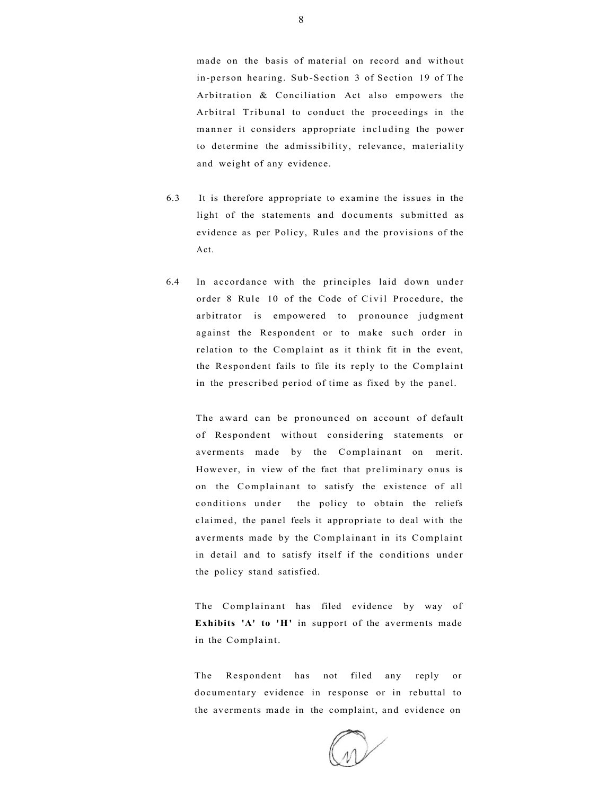made on the basis of material on record and without in-person hearing. Sub-Section 3 of Section 19 of The Arbitration & Conciliation Act also empowers the Arbitral Tribunal to conduct the proceedings in the manner it considers appropriate including the power to determine the admissibility, relevance, materiality and weight of any evidence.

- 6.3 It is therefore appropriate to examine the issues in the light of the statements and documents submitted as evidence as per Policy, Rules and the provisions of the Act.
- 6.4 In accordance with the principles laid down under order 8 Rule 10 of the Code of Civil Procedure, the arbitrator is empowered to pronounce judgment against the Respondent or to make such order in relation to the Complaint as it think fit in the event, the Respondent fails to file its reply to the Complaint in the prescribed period of time as fixed by the panel.

The award can be pronounced on account of default of Respondent without considering statements or averments made by the Complainant on merit. However, in view of the fact that preliminary onus is on the Complainant to satisfy the existence of all conditions under the policy to obtain the reliefs claimed, the panel feels it appropriate to deal with the averments made by the Complainant in its Complaint in detail and to satisfy itself if the conditions under the policy stand satisfied.

The Complainant has filed evidence by way of **Exhibits 'A' to 'H'** in support of the averments made in the Complaint.

The Respondent has not filed any reply or documentary evidence in response or in rebuttal to the averments made in the complaint, and evidence on

8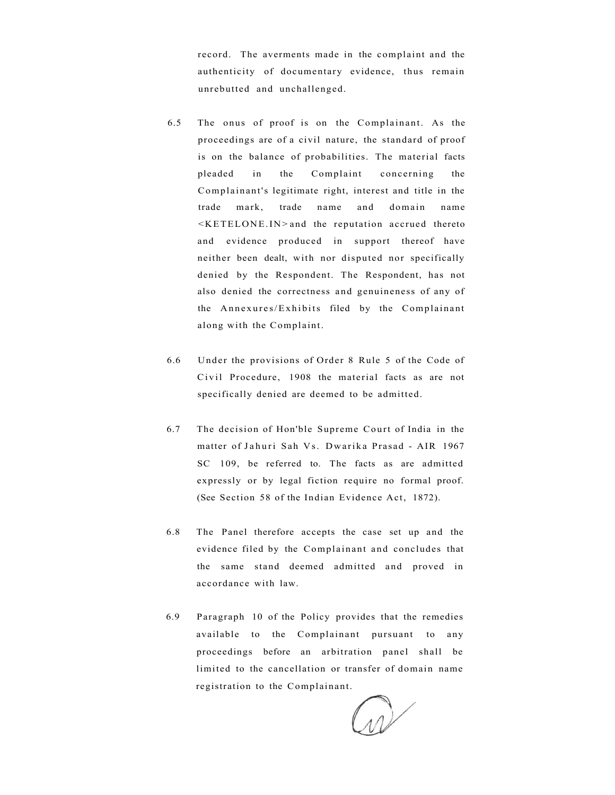record. The averments made in the complaint and the authenticity of documentary evidence, thus remain unrebutted and unchallenged.

- 6.5 The onus of proof is on the Complainant. As the proceedings are of a civil nature, the standard of proof is on the balance of probabilities. The material facts pleaded in the Complaint concerning the Complainant's legitimate right, interest and title in the trade mark, trade name and domain name  $KETELONE.ID$  and the reputation accrued thereto and evidence produced in support thereof have neither been dealt, with nor disputed nor specifically denied by the Respondent. The Respondent, has not also denied the correctness and genuineness of any of the Annexures/Exhibits filed by the Complainant along with the Complaint.
- 6.6 Under the provisions of Order 8 Rule 5 of the Code of Civil Procedure, 1908 the material facts as are not specifically denied are deemed to be admitted.
- 6.7 The decision of Hon'ble Supreme Court of India in the matter of Jahuri Sah Vs. Dwarika Prasad - AIR 1967 SC 109, be referred to. The facts as are admitted expressly or by legal fiction require no formal proof. (See Section 58 of the Indian Evidence Act, 1872).
- 6.8 The Panel therefore accepts the case set up and the evidence filed by the Complainant and concludes that the same stand deemed admitted and proved in accordance with law.
- 6.9 Paragraph 10 of the Policy provides that the remedies available to the Complainant pursuant to any proceedings before an arbitration panel shall be limited to the cancellation or transfer of domain name registration to the Complainant.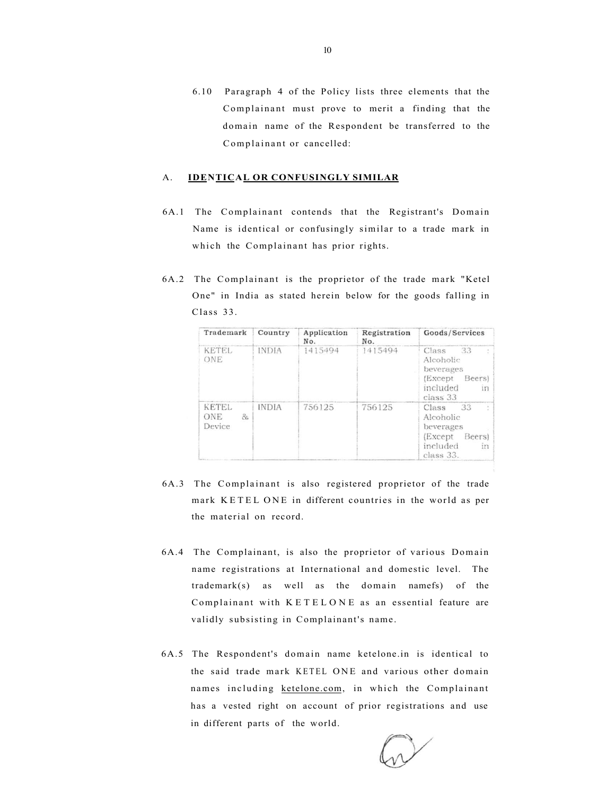6.10 Paragraph 4 of the Policy lists three elements that the Complainant must prove to merit a finding that the domain name of the Respondent be transferred to the Complainant or cancelled:

## A. **IDENTICAL OR CONFUSINGLY SIMILAR**

- 6A.1 The Complainant contends that the Registrant's Domain Name is identical or confusingly similar to a trade mark in which the Complainant has prior rights.
- 6A.2 The Complainant is the proprietor of the trade mark "Ketel One" in India as stated herein below for the goods falling in Class 33.

| Trademark                            | Country      | Application<br>No. | Registration<br>No. | Goods/Services                                                                                  |
|--------------------------------------|--------------|--------------------|---------------------|-------------------------------------------------------------------------------------------------|
| KETEL<br>ONE                         | <b>INDIA</b> | 1415494            | 1415494             | Class<br>33<br>Alcoholic<br>beverages<br>(Except<br>Beers)<br>included<br>IT3<br>class 33       |
| <b>KETEL</b><br>ONE<br>8r.<br>Device | <b>INDIA</b> | 756125             | 756125              | 33<br>Class<br>Alcoholic<br>beverages<br>(Except<br><b>Beers</b><br>included<br>in<br>class 33. |

- 6A.3 The Complainant is also registered proprietor of the trade mark KETEL ONE in different countries in the world as per the material on record.
- 6A.4 The Complainant, is also the proprietor of various Domain name registrations at International and domestic level. The trademark(s) as well as the domain namefs) of the Complainant with KETELONE as an essential feature are validly subsisting in Complainant's name.
- 6A.5 The Respondent's domain name ketelone.in is identical to the said trade mark KETEL ONE and various other domain names including [ketelone.com,](http://ketelone.com) in which the Complainant has a vested right on account of prior registrations and use in different parts of the world.

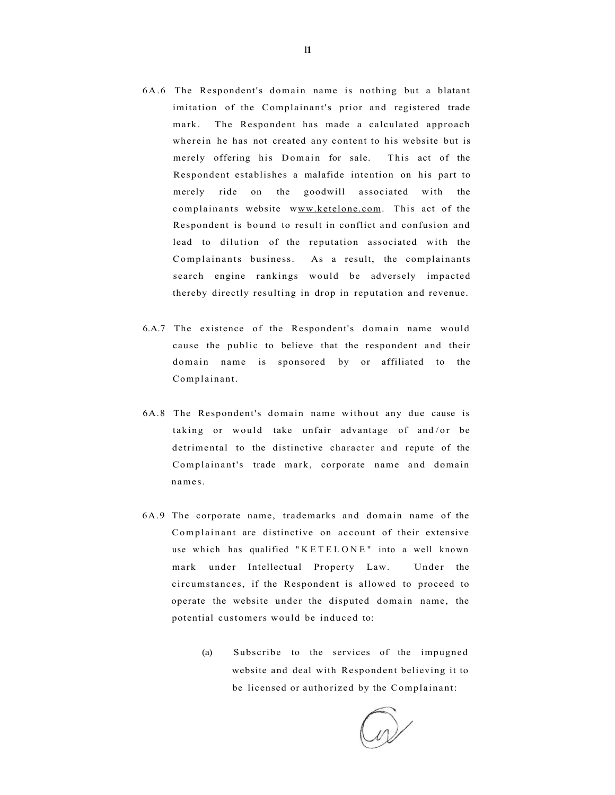- 6A.6 The Respondent's domain name is nothing but a blatant imitation of the Complainant's prior and registered trade mark. The Respondent has made a calculated approach wherein he has not created any content to his website but is merely offering his Domain for sale. This act of the Respondent establishes a malafide intention on his part to merely ride on the goodwill associated with the complainants website www.ketelone.com. This act of the Respondent is bound to result in conflict and confusion and lead to dilution of the reputation associated with the Complainants business. As a result, the complainants search engine rankings would be adversely impacted thereby directly resulting in drop in reputation and revenue.
- 6.A.7 The existence of the Respondent's domain name would cause the public to believe that the respondent and their domain name is sponsored by or affiliated to the Complainant.
- 6A.8 The Respondent's domain name without any due cause is taking or would take unfair advantage of and/or be detrimental to the distinctive character and repute of the Complainant's trade mark, corporate name and domain names.
- 6A.9 The corporate name, trademarks and domain name of the Complainant are distinctive on account of their extensive use which has qualified "KETELONE" into a well known mark under Intellectual Property Law. Under the circumstances, if the Respondent is allowed to proceed to operate the website under the disputed domain name, the potential customers would be induced to:
	- (a) Subscribe to the services of the impugned website and deal with Respondent believing it to be licensed or authorized by the Complainant: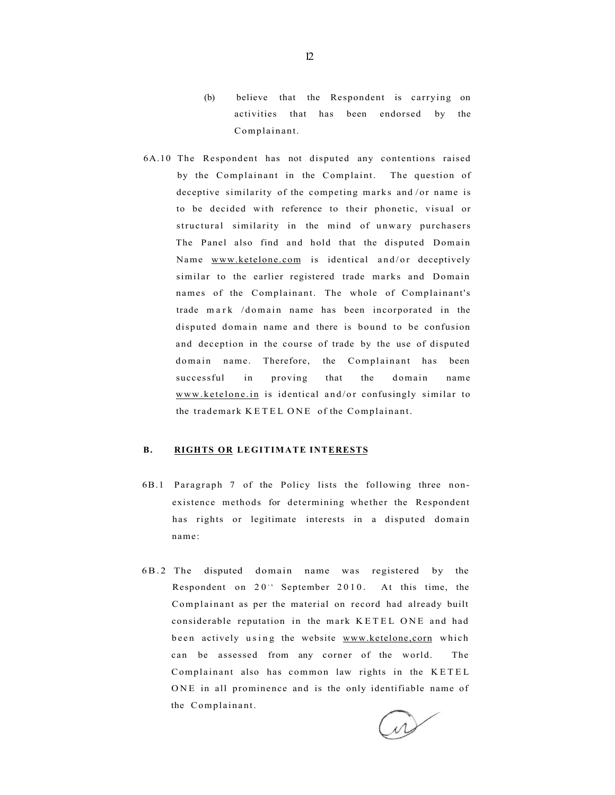- (b) believe that the Respondent is carrying on activities that has been endorsed by the Complainant.
- 6A.10 The Respondent has not disputed any contentions raised by the Complainant in the Complaint. The question of deceptive similarity of the competing marks and /or name is to be decided with reference to their phonetic, visual or structural similarity in the mind of unwary purchasers The Panel also find and hold that the disputed Domain Name [www.ketelone.com i](http://www.ketelone.com)s identical and/or deceptively similar to the earlier registered trade marks and Domain names of the Complainant. The whole of Complainant's trade mark /domain name has been incorporated in the disputed domain name and there is bound to be confusion and deception in the course of trade by the use of disputed domain name. Therefore, the Complainant has been successful in proving that the domain name [www.ketelone.in i](http://www.ketelone.in)s identical and/or confusingly similar to the trademark KETEL ONE of the Complainant.

# **B. RIGHTS OR LEGITIMATE INTERESTS**

- 6B.1 Paragraph 7 of the Policy lists the following three nonexistence methods for determining whether the Respondent has rights or legitimate interests in a disputed domain name:
- 6B. 2 The disputed domain name was registered by the Respondent on  $20<sup>th</sup>$  September 2010. At this time, the Complainant as per the material on record had already built considerable reputation in the mark KETEL ONE and had been actively using the website www.ketelone.corn which can be assessed from any corner of the world. The Complainant also has common law rights in the KETE L ONE in all prominence and is the only identifiable name of the Complainant.

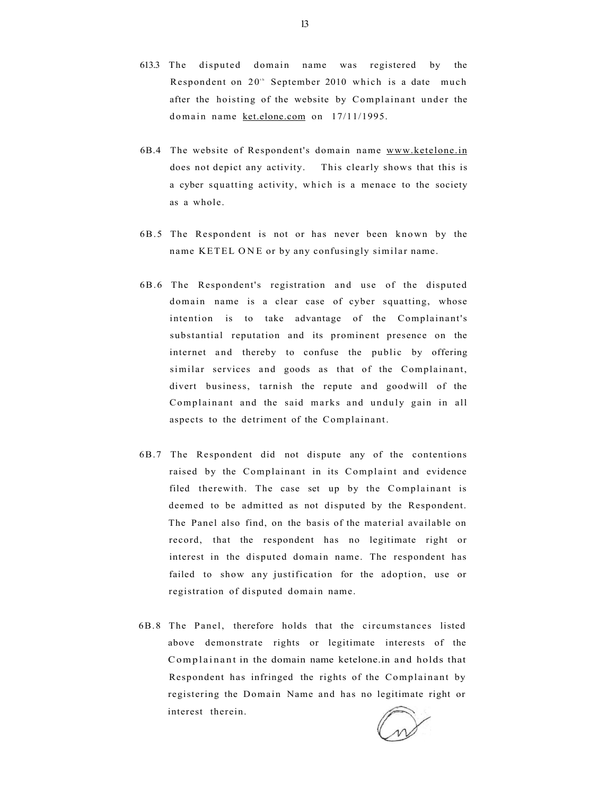- 613.3 The disputed domain name was registered by the Respondent on 20<sup>th</sup> September 2010 which is a date much after the hoisting of the website by Complainant under the domain name [ket.elone.com](http://ket.elone.com) on 17/11/1995.
- 6B.4 The website of Respondent's domain name [www.ketelone.in](http://www.ketelone.in) does not depict any activity. This clearly shows that this is a cyber squatting activity, which is a menace to the society as a whole.
- 6B.5 The Respondent is not or has never been known by the name KETEL ONE or by any confusingly similar name.
- 6B.6 The Respondent's registration and use of the disputed domain name is a clear case of cyber squatting, whose intention is to take advantage of the Complainant's substantial reputation and its prominent presence on the internet and thereby to confuse the public by offering similar services and goods as that of the Complainant, divert business, tarnish the repute and goodwill of the Complainant and the said marks and unduly gain in all aspects to the detriment of the Complainant.
- 6B.7 The Respondent did not dispute any of the contentions raised by the Complainant in its Complaint and evidence filed therewith. The case set up by the Complainant is deemed to be admitted as not disputed by the Respondent. The Panel also find, on the basis of the material available on record, that the respondent has no legitimate right or interest in the disputed domain name. The respondent has failed to show any justification for the adoption, use or registration of disputed domain name.
- 6B.8 The Panel, therefore holds that the circumstances listed above demonstrate rights or legitimate interests of the Complainant in the domain name ketelone.in and holds that Respondent has infringed the rights of the Complainant by registering the Domain Name and has no legitimate right or interest therein.

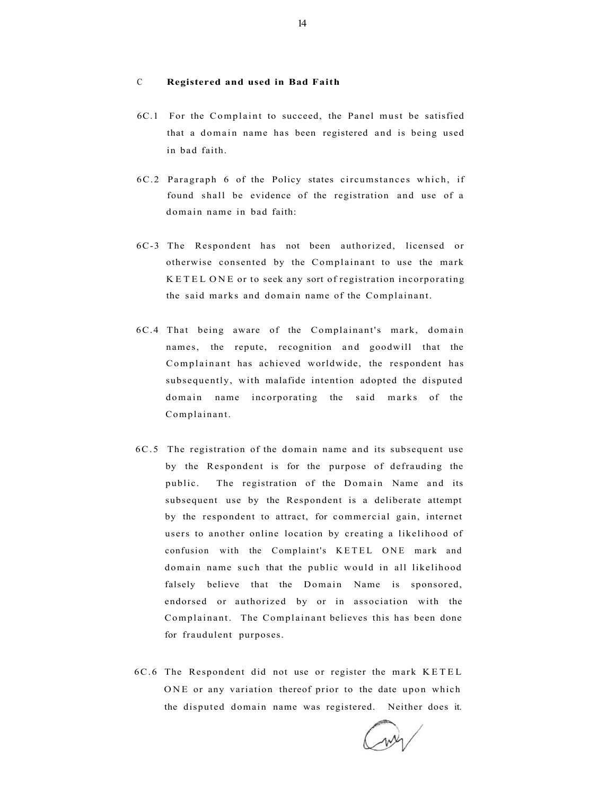### C **Registered and used in Bad Faith**

- 6C.1 For the Complaint to succeed, the Panel must be satisfied that a domain name has been registered and is being used in bad faith.
- 6C.2 Paragraph 6 of the Policy states circumstances which, if found shall be evidence of the registration and use of a domain name in bad faith:
- 6C-3 The Respondent has not been authorized, licensed or otherwise consented by the Complainant to use the mark KETEL ONE or to seek any sort of registration incorporating the said marks and domain name of the Complainant.
- 6C.4 That being aware of the Complainant's mark, domain names, the repute, recognition and goodwill that the Complainant has achieved worldwide, the respondent has subsequently, with malafide intention adopted the disputed domain name incorporating the said marks of the Complainant.
- 6C.5 The registration of the domain name and its subsequent use by the Respondent is for the purpose of defrauding the public. The registration of the Domain Name and its subsequent use by the Respondent is a deliberate attempt by the respondent to attract, for commercial gain, internet users to another online location by creating a likelihood of confusion with the Complaint's KETEL ONE mark and domain name such that the public would in all likelihood falsely believe that the Domain Name is sponsored, endorsed or authorized by or in association with the Complainant. The Complainant believes this has been done for fraudulent purposes.
- 6C.6 The Respondent did not use or register the mark KETE L ONE or any variation thereof prior to the date upon which the disputed domain name was registered. Neither does it.